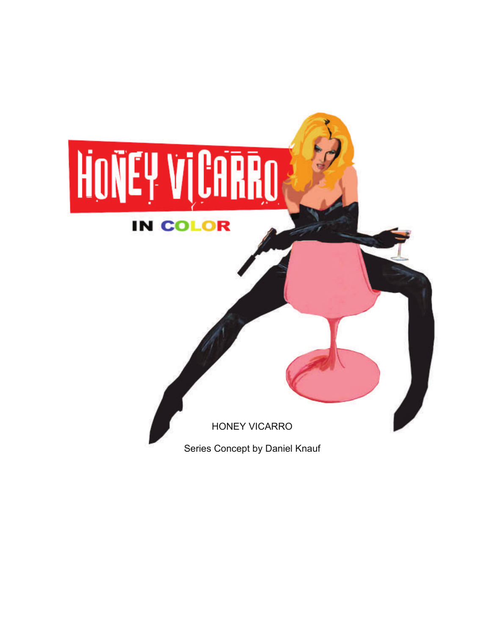# HONEY VICARRO **IN COLOR**

HONEY VICARRO

Series Concept by Daniel Knauf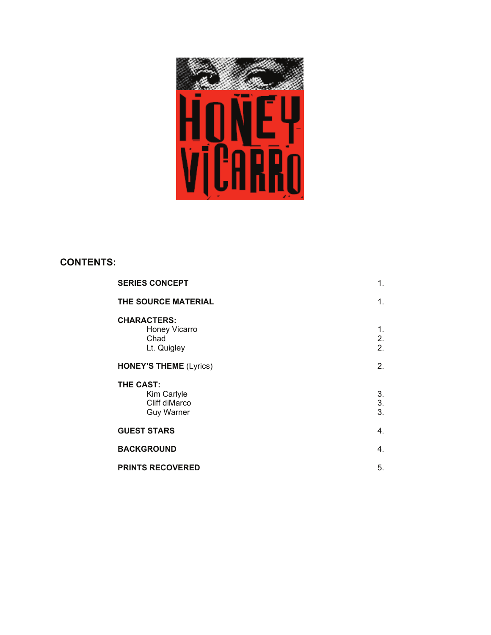

# **CONTENTS:**

| <b>SERIES CONCEPT</b>                                          | 1.             |
|----------------------------------------------------------------|----------------|
| THE SOURCE MATERIAL                                            | 1.             |
| <b>CHARACTERS:</b><br>Honey Vicarro<br>Chad<br>Lt. Quigley     | 1.<br>2.<br>2. |
| <b>HONEY'S THEME (Lyrics)</b>                                  | 2.             |
| THE CAST:<br>Kim Carlyle<br>Cliff diMarco<br><b>Guy Warner</b> | 3.<br>3.<br>3. |
| <b>GUEST STARS</b>                                             | 4.             |
| <b>BACKGROUND</b>                                              | 4.             |
| <b>PRINTS RECOVERED</b>                                        | 5.             |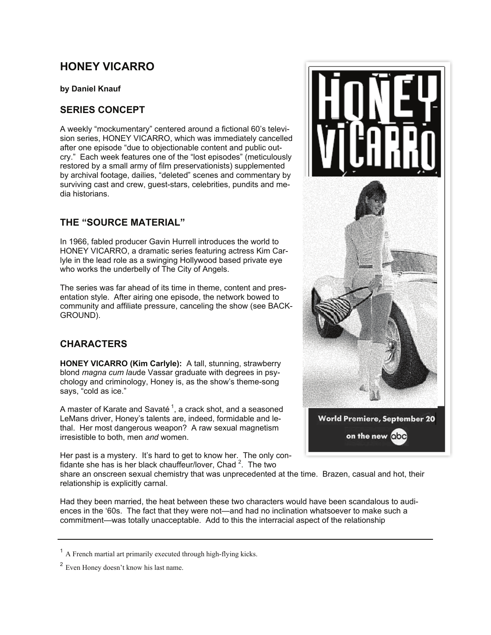# **HONEY VICARRO**

**by Daniel Knauf** 

## **SERIES CONCEPT**

A weekly "mockumentary" centered around a fictional 60's television series, HONEY VICARRO, which was immediately cancelled after one episode "due to objectionable content and public outcry." Each week features one of the "lost episodes" (meticulously restored by a small army of film preservationists) supplemented by archival footage, dailies, "deleted" scenes and commentary by surviving cast and crew, guest-stars, celebrities, pundits and media historians.

# **THE "SOURCE MATERIAL"**

In 1966, fabled producer Gavin Hurrell introduces the world to HONEY VICARRO, a dramatic series featuring actress Kim Carlyle in the lead role as a swinging Hollywood based private eye who works the underbelly of The City of Angels.

The series was far ahead of its time in theme, content and presentation style. After airing one episode, the network bowed to community and affiliate pressure, canceling the show (see BACK-GROUND).

# **CHARACTERS**

**HONEY VICARRO (Kim Carlyle):** A tall, stunning, strawberry blond *magna cum lau*de Vassar graduate with degrees in psychology and criminology, Honey is, as the show's theme-song says, "cold as ice."

A master of Karate and Savaté<sup>1</sup>, a crack shot, and a seasoned LeMans driver, Honey's talents are, indeed, formidable and lethal. Her most dangerous weapon? A raw sexual magnetism irresistible to both, men *and* women.

Her past is a mystery. It's hard to get to know her. The only confidante she has is her black chauffeur/lover, Chad  $2$ . The two

share an onscreen sexual chemistry that was unprecedented at the time. Brazen, casual and hot, their relationship is explicitly carnal.

Had they been married, the heat between these two characters would have been scandalous to audiences in the '60s. The fact that they were not—and had no inclination whatsoever to make such a commitment—was totally unacceptable. Add to this the interracial aspect of the relationship



<sup>&</sup>lt;sup>1</sup> A French martial art primarily executed through high-flying kicks.

<sup>&</sup>lt;sup>2</sup> Even Honey doesn't know his last name.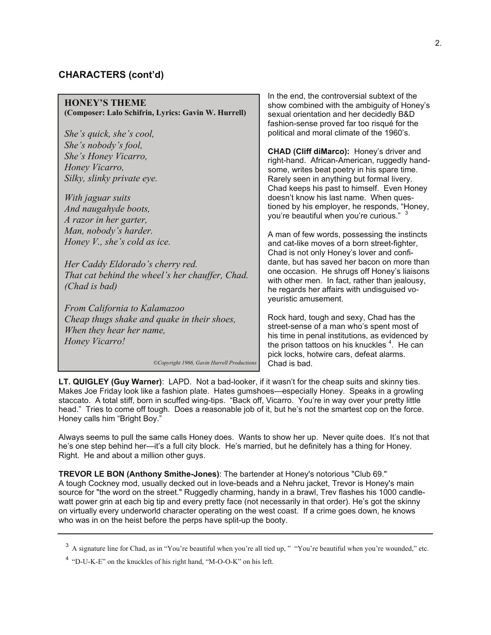## **CHARACTERS (cont'd)**

| <b>HONEY'S THEME</b><br>(Composer: Lalo Schifrin, Lyrics: Gavin W. Hurrell)                                                             | <u>th the end, the controversial subtext of the </u><br>show combined with the ambiguity of Honey's<br>sexual orientation and her decidedly B&D<br>fashion-sense proved far too risqué for the                                                                  |
|-----------------------------------------------------------------------------------------------------------------------------------------|-----------------------------------------------------------------------------------------------------------------------------------------------------------------------------------------------------------------------------------------------------------------|
| She's quick, she's cool,                                                                                                                | political and moral climate of the 1960's.                                                                                                                                                                                                                      |
| She's nobody's fool,<br>She's Honey Vicarro,<br>Honey Vicarro,<br>Silky, slinky private eye.                                            | CHAD (Cliff diMarco): Honey's driver and<br>right-hand. African-American, ruggedly hand-<br>some, writes beat poetry in his spare time.<br>Rarely seen in anything but formal livery.<br>Chad keeps his past to himself. Even Honey                             |
| With jaguar suits                                                                                                                       | doesn't know his last name. When ques-                                                                                                                                                                                                                          |
| And naugahyde boots,                                                                                                                    | tioned by his employer, he responds, "Honey,                                                                                                                                                                                                                    |
| A razor in her garter,                                                                                                                  | you're beautiful when you're curious." 3                                                                                                                                                                                                                        |
| Man, nobody's harder.<br>Honey $V$ ., she's cold as ice.                                                                                | A man of few words, possessing the instincts<br>and cat-like moves of a born street-fighter,<br>Chad is not only Honey's lover and confi-                                                                                                                       |
| Her Caddy Eldorado's cherry red.                                                                                                        | dante, but has saved her bacon on more than                                                                                                                                                                                                                     |
| That cat behind the wheel's her chauffer, Chad.<br>(Chad is bad)                                                                        | one occasion. He shrugs off Honey's liaisons<br>with other men. In fact, rather than jealousy,<br>he regards her affairs with undisguised vo-<br>yeuristic amusement.                                                                                           |
| From California to Kalamazoo                                                                                                            |                                                                                                                                                                                                                                                                 |
| Cheap thugs shake and quake in their shoes,<br>When they hear her name,<br>Honey Vicarro!<br>©Copyright 1966, Gavin Hurrell Productions | Rock hard, tough and sexy, Chad has the<br>street-sense of a man who's spent most of<br>his time in penal institutions, as evidenced by<br>the prison tattoos on his knuckles <sup>4</sup> . He can<br>pick locks, hotwire cars, defeat alarms.<br>Chad is bad. |
|                                                                                                                                         |                                                                                                                                                                                                                                                                 |

**LT. QUIGLEY (Guy Warner)**: LAPD. Not a bad-looker, if it wasn't for the cheap suits and skinny ties. Makes Joe Friday look like a fashion plate. Hates gumshoes—especially Honey. Speaks in a growling staccato. A total stiff, born in scuffed wing-tips. "Back off, Vicarro. You're in way over your pretty little head." Tries to come off tough. Does a reasonable job of it, but he's not the smartest cop on the force. Honey calls him "Bright Boy."

Always seems to pull the same calls Honey does. Wants to show her up. Never quite does. It's not that he's one step behind her—it's a full city block. He's married, but he definitely has a thing for Honey. Right. He and about a million other guys.

**TREVOR LE BON (Anthony Smithe-Jones)**: The bartender at Honey's notorious "Club 69." A tough Cockney mod, usually decked out in love-beads and a Nehru jacket, Trevor is Honey's main source for "the word on the street." Ruggedly charming, handy in a brawl, Trev flashes his 1000 candlewatt power grin at each big tip and every pretty face (not necessarily in that order). He's got the skinny on virtually every underworld character operating on the west coast. If a crime goes down, he knows who was in on the heist before the perps have split-up the booty.

In the end, the controversial subtext of the

<sup>&</sup>lt;sup>3</sup> A signature line for Chad, as in "You're beautiful when you're all tied up, " "You're beautiful when you're wounded," etc.

 $4$  "D-U-K-E" on the knuckles of his right hand, "M-O-O-K" on his left.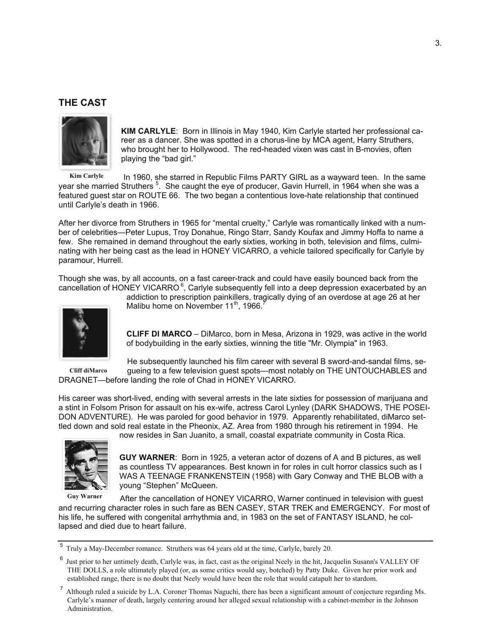## **THE CAST**



**KIM CARLYLE**: Born in Illinois in May 1940, Kim Carlyle started her professional career as a dancer. She was spotted in a chorus-line by MCA agent, Harry Struthers, who brought her to Hollywood. The red-headed vixen was cast in B-movies, often playing the "bad girl."

In 1960, she starred in Republic Films PARTY GIRL as a wayward teen. In the same year she married Struthers <sup>5</sup>. She caught the eye of producer, Gavin Hurrell, in 1964 when she was a featured guest star on ROUTE 66. The two began a contentious love-hate relationship that continued until Carlyle's death in 1966. **Kim Carlyle** 

After her divorce from Struthers in 1965 for "mental cruelty," Carlyle was romantically linked with a number of celebrities—Peter Lupus, Troy Donahue, Ringo Starr, Sandy Koufax and Jimmy Hoffa to name a few. She remained in demand throughout the early sixties, working in both, television and films, culminating with her being cast as the lead in HONEY VICARRO, a vehicle tailored specifically for Carlyle by paramour, Hurrell.

Though she was, by all accounts, on a fast career-track and could have easily bounced back from the cancellation of HONEY VICARRO<sup>6</sup>, Carlyle subsequently fell into a deep depression exacerbated by an



**Cliff diMarco** 

addiction to prescription painkillers, tragically dying of an overdose at age 26 at her Malibu home on November 11<sup>th</sup>, 1966.<sup>7</sup>

**CLIFF DI MARCO** – DiMarco, born in Mesa, Arizona in 1929, was active in the world of bodybuilding in the early sixties, winning the title "Mr. Olympia" in 1963.

He subsequently launched his film career with several B sword-and-sandal films, segueing to a few television guest spots—most notably on THE UNTOUCHABLES and DRAGNET—before landing the role of Chad in HONEY VICARRO.

His career was short-lived, ending with several arrests in the late sixties for possession of marijuana and a stint in Folsom Prison for assault on his ex-wife, actress Carol Lynley (DARK SHADOWS, THE POSEI-DON ADVENTURE). He was paroled for good behavior in 1979. Apparently rehabilitated, diMarco settled down and sold real estate in the Pheonix, AZ. Area from 1980 through his retirement in 1994. He



**Guy Warner** 

now resides in San Juanito, a small, coastal expatriate community in Costa Rica.

**GUY WARNER**: Born in 1925, a veteran actor of dozens of A and B pictures, as well as countless TV appearances. Best known in for roles in cult horror classics such as I WAS A TEENAGE FRANKENSTEIN (1958) with Gary Conway and THE BLOB with a young "Stephen" McQueen.

After the cancellation of HONEY VICARRO, Warner continued in television with guest and recurring character roles in such fare as BEN CASEY, STAR TREK and EMERGENCY. For most of his life, he suffered with congenital arrhythmia and, in 1983 on the set of FANTASY ISLAND, he collapsed and died due to heart failure.

<sup>5</sup>Truly a May-December romance. Struthers was 64 years old at the time, Carlyle, barely 20.

Just prior to her untimely death, Carlyle was, in fact, cast as the original Neely in the hit, Jacquelin Susann's VALLEY OF THE DOLLS, a role ultimately played (or, as some critics would say, botched) by Patty Duke. Given her prior work and established range, there is no doubt that Neely would have been the role that would catapult her to stardom.

<sup>&</sup>lt;sup>7</sup> Although ruled a suicide by L.A. Coroner Thomas Naguchi, there has been a significant amount of conjecture regarding Ms. Carlyle's manner of death, largely centering around her alleged sexual relationship with a cabinet-member in the Johnson Administration.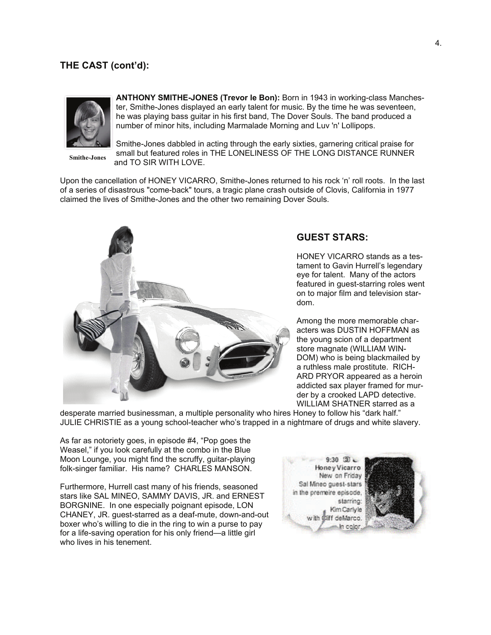## **THE CAST (cont'd):**



**ANTHONY SMITHE-JONES (Trevor le Bon):** Born in 1943 in working-class Manchester, Smithe-Jones displayed an early talent for music. By the time he was seventeen, he was playing bass guitar in his first band, The Dover Souls. The band produced a number of minor hits, including Marmalade Morning and Luv 'n' Lollipops.

**Smithe-Jones** 

Smithe-Jones dabbled in acting through the early sixties, garnering critical praise for small but featured roles in THE LONELINESS OF THE LONG DISTANCE RUNNER and TO SIR WITH LOVE.

Upon the cancellation of HONEY VICARRO, Smithe-Jones returned to his rock 'n' roll roots. In the last of a series of disastrous "come-back" tours, a tragic plane crash outside of Clovis, California in 1977 claimed the lives of Smithe-Jones and the other two remaining Dover Souls.



#### **GUEST STARS:**

HONEY VICARRO stands as a testament to Gavin Hurrell's legendary eye for talent. Many of the actors featured in guest-starring roles went on to major film and television stardom.

Among the more memorable characters was DUSTIN HOFFMAN as the young scion of a department store magnate (WILLIAM WIN-DOM) who is being blackmailed by a ruthless male prostitute. RICH-ARD PRYOR appeared as a heroin addicted sax player framed for murder by a crooked LAPD detective. WILLIAM SHATNER starred as a

desperate married businessman, a multiple personality who hires Honey to follow his "dark half." JULIE CHRISTIE as a young school-teacher who's trapped in a nightmare of drugs and white slavery.

As far as notoriety goes, in episode #4, "Pop goes the Weasel," if you look carefully at the combo in the Blue Moon Lounge, you might find the scruffy, guitar-playing folk-singer familiar. His name? CHARLES MANSON.

Furthermore, Hurrell cast many of his friends, seasoned stars like SAL MINEO, SAMMY DAVIS, JR. and ERNEST BORGNINE. In one especially poignant episode, LON CHANEY, JR. guest-starred as a deaf-mute, down-and-out boxer who's willing to die in the ring to win a purse to pay for a life-saving operation for his only friend—a little girl who lives in his tenement.



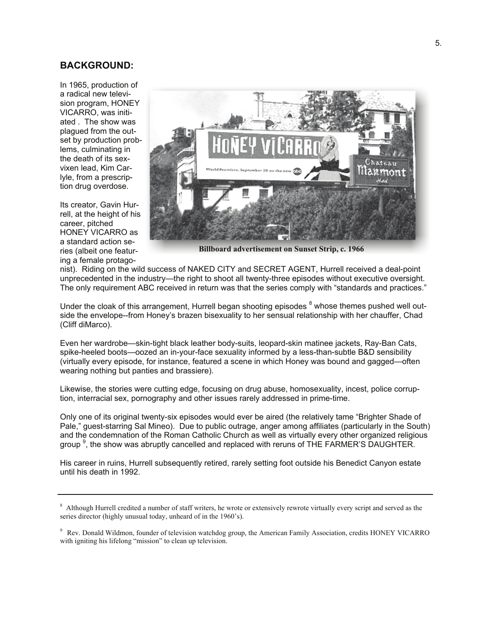### **BACKGROUND:**

In 1965, production of a radical new television program, HONEY VICARRO, was initiated . The show was plagued from the outset by production problems, culminating in the death of its sexvixen lead, Kim Carlyle, from a prescription drug overdose.

Its creator, Gavin Hurrell, at the height of his career, pitched HONEY VICARRO as a standard action series (albeit one featuring a female protago-



**Billboard advertisement on Sunset Strip, c. 1966** 

nist). Riding on the wild success of NAKED CITY and SECRET AGENT, Hurrell received a deal-point unprecedented in the industry—the right to shoot all twenty-three episodes without executive oversight. The only requirement ABC received in return was that the series comply with "standards and practices."

Under the cloak of this arrangement, Hurrell began shooting episodes <sup>8</sup> whose themes pushed well outside the envelope--from Honey's brazen bisexuality to her sensual relationship with her chauffer, Chad (Cliff diMarco).

Even her wardrobe—skin-tight black leather body-suits, leopard-skin matinee jackets, Ray-Ban Cats, spike-heeled boots—oozed an in-your-face sexuality informed by a less-than-subtle B&D sensibility (virtually every episode, for instance, featured a scene in which Honey was bound and gagged—often wearing nothing but panties and brassiere).

Likewise, the stories were cutting edge, focusing on drug abuse, homosexuality, incest, police corruption, interracial sex, pornography and other issues rarely addressed in prime-time.

Only one of its original twenty-six episodes would ever be aired (the relatively tame "Brighter Shade of Pale," guest-starring Sal Mineo). Due to public outrage, anger among affiliates (particularly in the South) and the condemnation of the Roman Catholic Church as well as virtually every other organized religious group  $9$ , the show was abruptly cancelled and replaced with reruns of THE FARMER'S DAUGHTER.

His career in ruins, Hurrell subsequently retired, rarely setting foot outside his Benedict Canyon estate until his death in 1992.

<sup>&</sup>lt;sup>8</sup> Although Hurrell credited a number of staff writers, he wrote or extensively rewrote virtually every script and served as the series director (highly unusual today, unheard of in the 1960's).

<sup>9</sup> Rev. Donald Wildmon, founder of television watchdog group, the American Family Association, credits HONEY VICARRO with igniting his lifelong "mission" to clean up television.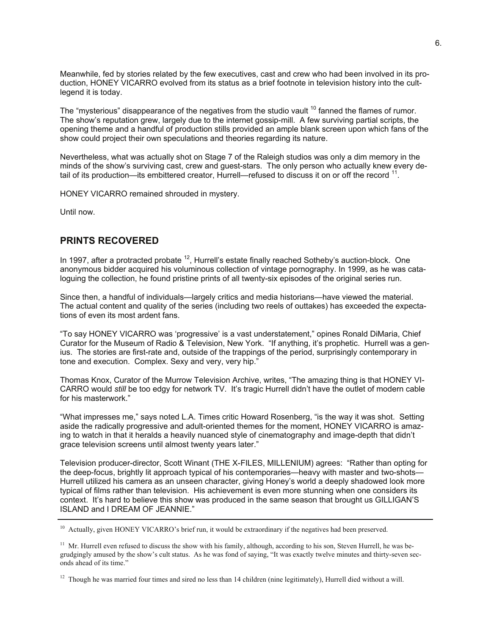Meanwhile, fed by stories related by the few executives, cast and crew who had been involved in its production, HONEY VICARRO evolved from its status as a brief footnote in television history into the cultlegend it is today.

The "mysterious" disappearance of the negatives from the studio vault <sup>10</sup> fanned the flames of rumor. The show's reputation grew, largely due to the internet gossip-mill. A few surviving partial scripts, the opening theme and a handful of production stills provided an ample blank screen upon which fans of the show could project their own speculations and theories regarding its nature.

Nevertheless, what was actually shot on Stage 7 of the Raleigh studios was only a dim memory in the minds of the show's surviving cast, crew and guest-stars. The only person who actually knew every detail of its production—its embittered creator, Hurrell—refused to discuss it on or off the record 11.

HONEY VICARRO remained shrouded in mystery.

Until now.

#### **PRINTS RECOVERED**

In 1997, after a protracted probate  $12$ , Hurrell's estate finally reached Sotheby's auction-block. One anonymous bidder acquired his voluminous collection of vintage pornography. In 1999, as he was cataloguing the collection, he found pristine prints of all twenty-six episodes of the original series run.

Since then, a handful of individuals—largely critics and media historians—have viewed the material. The actual content and quality of the series (including two reels of outtakes) has exceeded the expectations of even its most ardent fans.

"To say HONEY VICARRO was 'progressive' is a vast understatement," opines Ronald DiMaria, Chief Curator for the Museum of Radio & Television, New York. "If anything, it's prophetic. Hurrell was a genius. The stories are first-rate and, outside of the trappings of the period, surprisingly contemporary in tone and execution. Complex. Sexy and very, very hip."

Thomas Knox, Curator of the Murrow Television Archive, writes, "The amazing thing is that HONEY VI-CARRO would *still* be too edgy for network TV. It's tragic Hurrell didn't have the outlet of modern cable for his masterwork."

"What impresses me," says noted L.A. Times critic Howard Rosenberg, "is the way it was shot. Setting aside the radically progressive and adult-oriented themes for the moment, HONEY VICARRO is amazing to watch in that it heralds a heavily nuanced style of cinematography and image-depth that didn't grace television screens until almost twenty years later."

Television producer-director, Scott Winant (THE X-FILES, MILLENIUM) agrees: "Rather than opting for the deep-focus, brightly lit approach typical of his contemporaries—heavy with master and two-shots— Hurrell utilized his camera as an unseen character, giving Honey's world a deeply shadowed look more typical of films rather than television. His achievement is even more stunning when one considers its context. It's hard to believe this show was produced in the same season that brought us GILLIGAN'S ISLAND and I DREAM OF JEANNIE."

<sup>&</sup>lt;sup>10</sup> Actually, given HONEY VICARRO's brief run, it would be extraordinary if the negatives had been preserved.

 $11$  Mr. Hurrell even refused to discuss the show with his family, although, according to his son, Steven Hurrell, he was begrudgingly amused by the show's cult status. As he was fond of saying, "It was exactly twelve minutes and thirty-seven seconds ahead of its time."

 $12$  Though he was married four times and sired no less than 14 children (nine legitimately), Hurrell died without a will.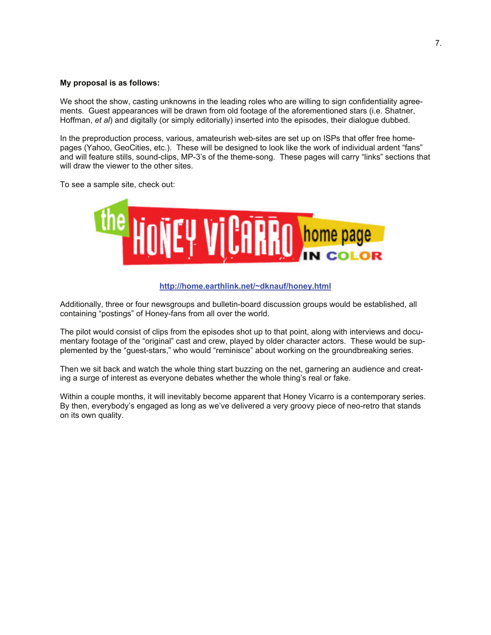#### **My proposal is as follows:**

We shoot the show, casting unknowns in the leading roles who are willing to sign confidentiality agreements. Guest appearances will be drawn from old footage of the aforementioned stars (i.e. Shatner, Hoffman, *et al*) and digitally (or simply editorially) inserted into the episodes, their dialogue dubbed.

In the preproduction process, various, amateurish web-sites are set up on ISPs that offer free homepages (Yahoo, GeoCities, etc.). These will be designed to look like the work of individual ardent "fans" and will feature stills, sound-clips, MP-3's of the theme-song. These pages will carry "links" sections that will draw the viewer to the other sites.

To see a sample site, check out:



#### **http://home.earthlink.net/~dknauf/honey.html**

Additionally, three or four newsgroups and bulletin-board discussion groups would be established, all containing "postings" of Honey-fans from all over the world.

The pilot would consist of clips from the episodes shot up to that point, along with interviews and documentary footage of the "original" cast and crew, played by older character actors. These would be supplemented by the "guest-stars," who would "reminisce" about working on the groundbreaking series.

Then we sit back and watch the whole thing start buzzing on the net, garnering an audience and creating a surge of interest as everyone debates whether the whole thing's real or fake.

Within a couple months, it will inevitably become apparent that Honey Vicarro is a contemporary series. By then, everybody's engaged as long as we've delivered a very groovy piece of neo-retro that stands on its own quality.